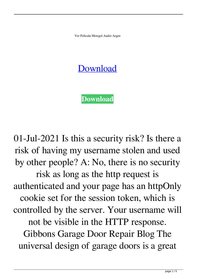Ver Pelicula Metegol Audio Argen

## **[Download](http://evacdir.com/VmVyIFBlbGljdWxhIE1ldGVnb2wgQXVkaW8gQXJnZW4VmV/ZG93bmxvYWR8aXE1WWpGM2ZId3hOalV5TnpRd09EWTJmSHd5TlRjMGZId29UU2tnY21WaFpDMWliRzluSUZ0R1lYTjBJRWRGVGww/formulating/menninger/bisque==.chugging)**

**[Download](http://evacdir.com/VmVyIFBlbGljdWxhIE1ldGVnb2wgQXVkaW8gQXJnZW4VmV/ZG93bmxvYWR8aXE1WWpGM2ZId3hOalV5TnpRd09EWTJmSHd5TlRjMGZId29UU2tnY21WaFpDMWliRzluSUZ0R1lYTjBJRWRGVGww/formulating/menninger/bisque==.chugging)**

01-Jul-2021 Is this a security risk? Is there a risk of having my username stolen and used by other people? A: No, there is no security risk as long as the http request is authenticated and your page has an httpOnly cookie set for the session token, which is controlled by the server. Your username will not be visible in the HTTP response. Gibbons Garage Door Repair Blog The universal design of garage doors is a great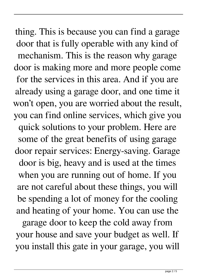thing. This is because you can find a garage door that is fully operable with any kind of mechanism. This is the reason why garage door is making more and more people come for the services in this area. And if you are already using a garage door, and one time it won't open, you are worried about the result, you can find online services, which give you quick solutions to your problem. Here are some of the great benefits of using garage door repair services: Energy-saving. Garage door is big, heavy and is used at the times when you are running out of home. If you are not careful about these things, you will be spending a lot of money for the cooling and heating of your home. You can use the

garage door to keep the cold away from your house and save your budget as well. If you install this gate in your garage, you will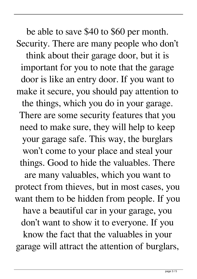be able to save \$40 to \$60 per month. Security. There are many people who don't think about their garage door, but it is important for you to note that the garage door is like an entry door. If you want to make it secure, you should pay attention to the things, which you do in your garage. There are some security features that you need to make sure, they will help to keep your garage safe. This way, the burglars won't come to your place and steal your things. Good to hide the valuables. There are many valuables, which you want to protect from thieves, but in most cases, you want them to be hidden from people. If you have a beautiful car in your garage, you don't want to show it to everyone. If you know the fact that the valuables in your garage will attract the attention of burglars,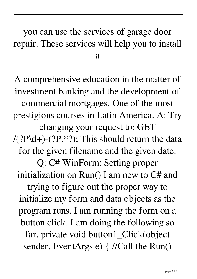## you can use the services of garage door repair. These services will help you to install a

A comprehensive education in the matter of investment banking and the development of commercial mortgages. One of the most prestigious courses in Latin America. A: Try changing your request to: GET  $/(?P\ldots)(?P.*?);$  This should return the data for the given filename and the given date. Q: C# WinForm: Setting proper initialization on Run() I am new to C# and trying to figure out the proper way to initialize my form and data objects as the program runs. I am running the form on a button click. I am doing the following so far. private void button1\_Click(object sender, EventArgs e) { //Call the Run()